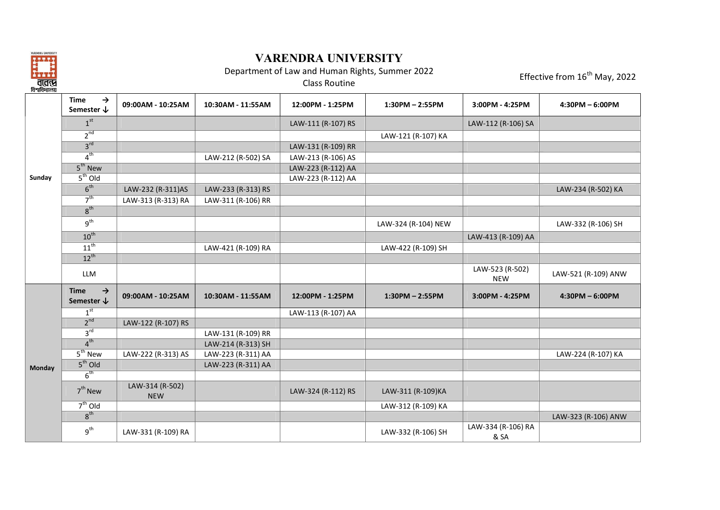

## **VARENDRA UNIVERSITY**

Department of Law and Human Rights, Summer 2022

Effective from  $16^{\text{th}}$  May, 2022

|        | <b>Time</b><br>$\rightarrow$<br>Semester $\downarrow$ | 09:00AM - 10:25AM             | 10:30AM - 11:55AM  | 12:00PM - 1:25PM   | $1:30PM - 2:55PM$   | 3:00PM - 4:25PM               | $4:30PM - 6:00PM$   |
|--------|-------------------------------------------------------|-------------------------------|--------------------|--------------------|---------------------|-------------------------------|---------------------|
|        | 1 <sup>st</sup>                                       |                               |                    | LAW-111 (R-107) RS |                     | LAW-112 (R-106) SA            |                     |
|        | $2^{nd}$                                              |                               |                    |                    | LAW-121 (R-107) KA  |                               |                     |
|        | 3 <sup>rd</sup>                                       |                               |                    | LAW-131 (R-109) RR |                     |                               |                     |
|        | 4 <sup>th</sup>                                       |                               | LAW-212 (R-502) SA | LAW-213 (R-106) AS |                     |                               |                     |
|        | $5th$ New                                             |                               |                    | LAW-223 (R-112) AA |                     |                               |                     |
| Sunday | $5th$ Old                                             |                               |                    | LAW-223 (R-112) AA |                     |                               |                     |
|        | 6 <sup>th</sup>                                       | LAW-232 (R-311)AS             | LAW-233 (R-313) RS |                    |                     |                               | LAW-234 (R-502) KA  |
|        | 7 <sup>th</sup>                                       | LAW-313 (R-313) RA            | LAW-311 (R-106) RR |                    |                     |                               |                     |
|        | 8 <sup>th</sup>                                       |                               |                    |                    |                     |                               |                     |
|        | $g^{th}$                                              |                               |                    |                    | LAW-324 (R-104) NEW |                               | LAW-332 (R-106) SH  |
|        | $10^{th}$                                             |                               |                    |                    |                     | LAW-413 (R-109) AA            |                     |
|        | $11^{th}$                                             |                               | LAW-421 (R-109) RA |                    | LAW-422 (R-109) SH  |                               |                     |
|        | $12^{th}$                                             |                               |                    |                    |                     |                               |                     |
|        | <b>LLM</b>                                            |                               |                    |                    |                     | LAW-523 (R-502)<br><b>NEW</b> | LAW-521 (R-109) ANW |
|        | $\rightarrow$<br><b>Time</b><br>Semester $\downarrow$ | 09:00AM - 10:25AM             | 10:30AM - 11:55AM  | 12:00PM - 1:25PM   | $1:30PM - 2:55PM$   | 3:00PM - 4:25PM               | $4:30PM - 6:00PM$   |
|        | 1 <sup>st</sup>                                       |                               |                    | LAW-113 (R-107) AA |                     |                               |                     |
|        | 2 <sup>nd</sup>                                       | LAW-122 (R-107) RS            |                    |                    |                     |                               |                     |
|        | 3 <sup>rd</sup>                                       |                               | LAW-131 (R-109) RR |                    |                     |                               |                     |
|        | 4 <sup>th</sup>                                       |                               | LAW-214 (R-313) SH |                    |                     |                               |                     |
|        | $5th$ New                                             | LAW-222 (R-313) AS            | LAW-223 (R-311) AA |                    |                     |                               | LAW-224 (R-107) KA  |
| Monday | $5th$ Old                                             |                               | LAW-223 (R-311) AA |                    |                     |                               |                     |
|        | 6 <sup>th</sup>                                       |                               |                    |                    |                     |                               |                     |
|        | $7th$ New                                             | LAW-314 (R-502)<br><b>NEW</b> |                    | LAW-324 (R-112) RS | LAW-311 (R-109)KA   |                               |                     |
|        | $7th$ Old                                             |                               |                    |                    | LAW-312 (R-109) KA  |                               |                     |
|        | 8 <sup>th</sup>                                       |                               |                    |                    |                     |                               | LAW-323 (R-106) ANW |
|        | $g^{th}$                                              | LAW-331 (R-109) RA            |                    |                    | LAW-332 (R-106) SH  | LAW-334 (R-106) RA<br>& SA    |                     |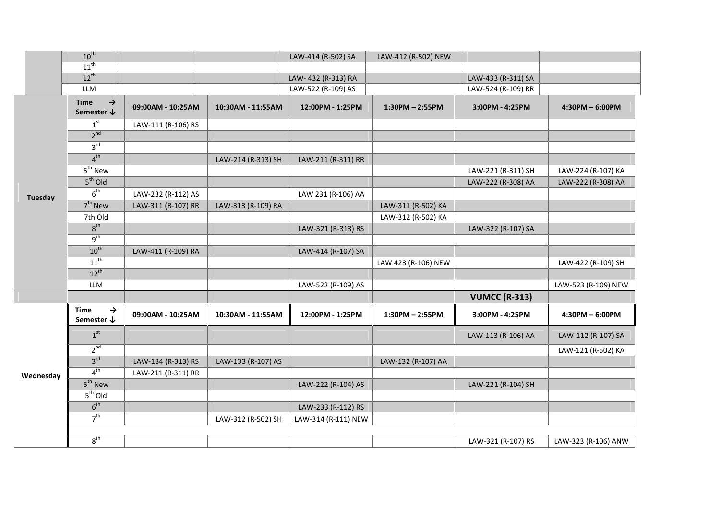|                | $10^{th}$                                             |                    |                    | LAW-414 (R-502) SA  | LAW-412 (R-502) NEW |                      |                     |
|----------------|-------------------------------------------------------|--------------------|--------------------|---------------------|---------------------|----------------------|---------------------|
|                | $11^{\text{th}}$                                      |                    |                    |                     |                     |                      |                     |
|                | $12^{th}$                                             |                    |                    | LAW-432 (R-313) RA  |                     | LAW-433 (R-311) SA   |                     |
|                | <b>LLM</b>                                            |                    |                    | LAW-522 (R-109) AS  |                     | LAW-524 (R-109) RR   |                     |
|                | $\rightarrow$<br><b>Time</b><br>Semester $\downarrow$ | 09:00AM - 10:25AM  | 10:30AM - 11:55AM  | 12:00PM - 1:25PM    | $1:30PM - 2:55PM$   | 3:00PM - 4:25PM      | $4:30PM - 6:00PM$   |
|                | 1 <sup>st</sup>                                       | LAW-111 (R-106) RS |                    |                     |                     |                      |                     |
|                | 2 <sup>nd</sup>                                       |                    |                    |                     |                     |                      |                     |
|                | 3 <sup>rd</sup>                                       |                    |                    |                     |                     |                      |                     |
|                | 4 <sup>th</sup>                                       |                    | LAW-214 (R-313) SH | LAW-211 (R-311) RR  |                     |                      |                     |
|                | $\overline{5^{th}}$ New                               |                    |                    |                     |                     | LAW-221 (R-311) SH   | LAW-224 (R-107) KA  |
|                | $5th$ Old                                             |                    |                    |                     |                     | LAW-222 (R-308) AA   | LAW-222 (R-308) AA  |
| <b>Tuesday</b> | 6 <sup>th</sup>                                       | LAW-232 (R-112) AS |                    | LAW 231 (R-106) AA  |                     |                      |                     |
|                | $7th$ New                                             | LAW-311 (R-107) RR | LAW-313 (R-109) RA |                     | LAW-311 (R-502) KA  |                      |                     |
|                | 7th Old                                               |                    |                    |                     | LAW-312 (R-502) KA  |                      |                     |
|                | 8 <sup>th</sup>                                       |                    |                    | LAW-321 (R-313) RS  |                     | LAW-322 (R-107) SA   |                     |
|                | 9 <sup>th</sup>                                       |                    |                    |                     |                     |                      |                     |
|                | $10^{th}$                                             | LAW-411 (R-109) RA |                    | LAW-414 (R-107) SA  |                     |                      |                     |
|                | $11^{th}$                                             |                    |                    |                     | LAW 423 (R-106) NEW |                      | LAW-422 (R-109) SH  |
|                | $12^{th}$                                             |                    |                    |                     |                     |                      |                     |
|                | <b>LLM</b>                                            |                    |                    | LAW-522 (R-109) AS  |                     |                      | LAW-523 (R-109) NEW |
|                |                                                       |                    |                    |                     |                     | <b>VUMCC (R-313)</b> |                     |
|                | <b>Time</b><br>→<br>Semester $\bm{\downarrow}$        | 09:00AM - 10:25AM  | 10:30AM - 11:55AM  | 12:00PM - 1:25PM    | $1:30PM - 2:55PM$   | 3:00PM - 4:25PM      | $4:30PM - 6:00PM$   |
|                | 1 <sup>st</sup>                                       |                    |                    |                     |                     | LAW-113 (R-106) AA   | LAW-112 (R-107) SA  |
|                | 2 <sup>nd</sup>                                       |                    |                    |                     |                     |                      | LAW-121 (R-502) KA  |
|                | 3 <sup>rd</sup>                                       | LAW-134 (R-313) RS | LAW-133 (R-107) AS |                     | LAW-132 (R-107) AA  |                      |                     |
| Wednesday      | 4 <sup>th</sup>                                       | LAW-211 (R-311) RR |                    |                     |                     |                      |                     |
|                | $5th$ New                                             |                    |                    | LAW-222 (R-104) AS  |                     | LAW-221 (R-104) SH   |                     |
|                | $5th$ Old                                             |                    |                    |                     |                     |                      |                     |
|                | 6 <sup>th</sup>                                       |                    |                    | LAW-233 (R-112) RS  |                     |                      |                     |
|                | 7 <sup>th</sup>                                       |                    | LAW-312 (R-502) SH | LAW-314 (R-111) NEW |                     |                      |                     |
|                | $8^{\text{th}}$                                       |                    |                    |                     |                     | LAW-321 (R-107) RS   | LAW-323 (R-106) ANW |